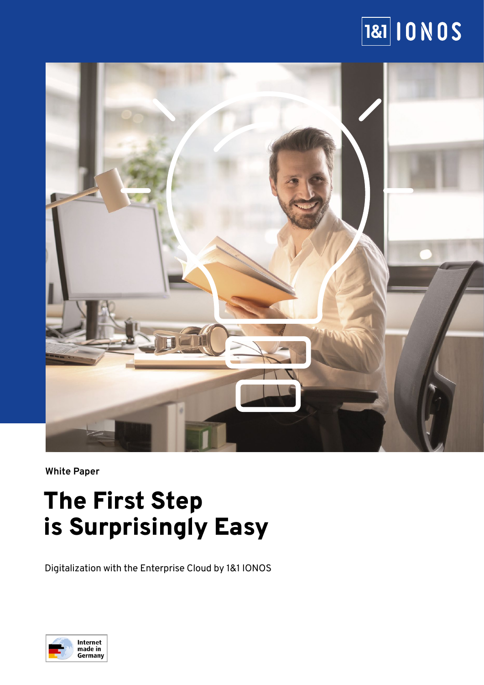# $\overline{\mathbf{|a\mathbf{|}}\mathbf{|}}$  10 N O S



**White Paper**

# The First Step is Surprisingly Easy

Digitalization with the Enterprise Cloud by 1&1 IONOS

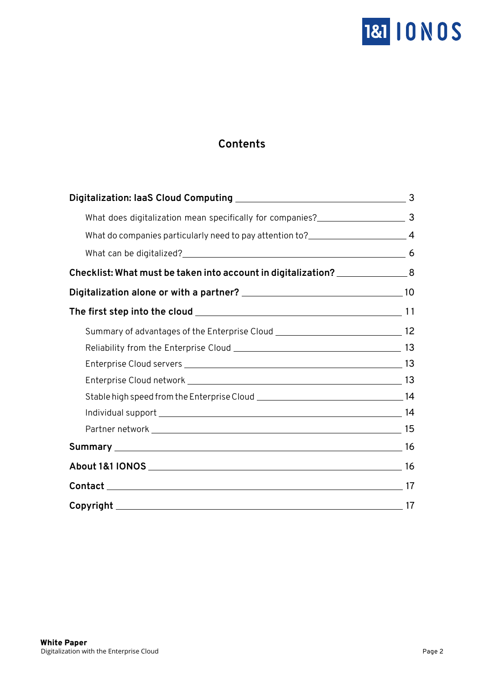

# **Contents**

| What does digitalization mean specifically for companies?_______________________ 3  |  |
|-------------------------------------------------------------------------------------|--|
| What do companies particularly need to pay attention to?_________________________ 4 |  |
|                                                                                     |  |
| Checklist: What must be taken into account in digitalization? ________________8     |  |
|                                                                                     |  |
|                                                                                     |  |
| Summary of advantages of the Enterprise Cloud __________________________________ 12 |  |
|                                                                                     |  |
|                                                                                     |  |
|                                                                                     |  |
|                                                                                     |  |
|                                                                                     |  |
|                                                                                     |  |
|                                                                                     |  |
|                                                                                     |  |
|                                                                                     |  |
|                                                                                     |  |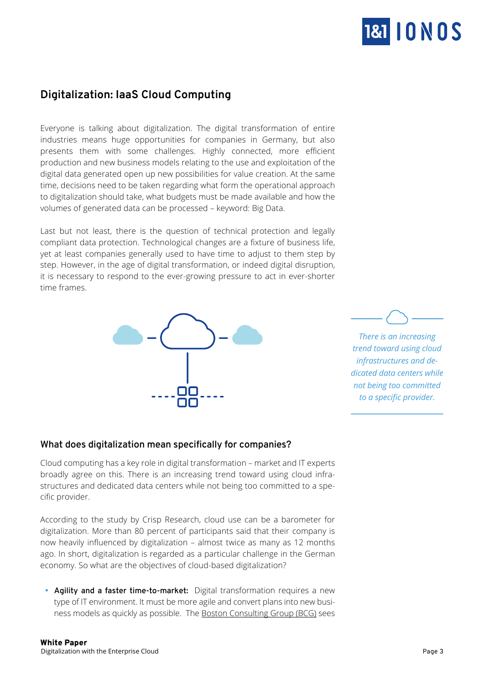

# <span id="page-2-0"></span>**Digitalization: IaaS Cloud Computing**

Everyone is talking about digitalization. The digital transformation of entire industries means huge opportunities for companies in Germany, but also presents them with some challenges. Highly connected, more efficient production and new business models relating to the use and exploitation of the digital data generated open up new possibilities for value creation. At the same time, decisions need to be taken regarding what form the operational approach to digitalization should take, what budgets must be made available and how the volumes of generated data can be processed – keyword: Big Data.

Last but not least, there is the question of technical protection and legally compliant data protection. Technological changes are a fixture of business life, yet at least companies generally used to have time to adjust to them step by step. However, in the age of digital transformation, or indeed digital disruption, it is necessary to respond to the ever-growing pressure to act in ever-shorter time frames.



*There is an increasing trend toward using cloud infrastructures and dedicated data centers while not being too committed to a specific provider.*

## **What does digitalization mean specifically for companies?**

Cloud computing has a key role in digital transformation – market and IT experts broadly agree on this. There is an increasing trend toward using cloud infrastructures and dedicated data centers while not being too committed to a specific provider.

According to the study by Crisp Research, cloud use can be a barometer for digitalization. More than 80 percent of participants said that their company is now heavily influenced by digitalization – almost twice as many as 12 months ago. In short, digitalization is regarded as a particular challenge in the German economy. So what are the objectives of cloud-based digitalization?

• Agility and a faster time-to-market: Digital transformation requires a new type of IT environment. It must be more agile and convert plans into new business models as quickly as possible. The [Boston Consulting Group \(BCG\)](https://www.bcg.com/de-de/d/press/20march2017-agile-unternehmen-152999) sees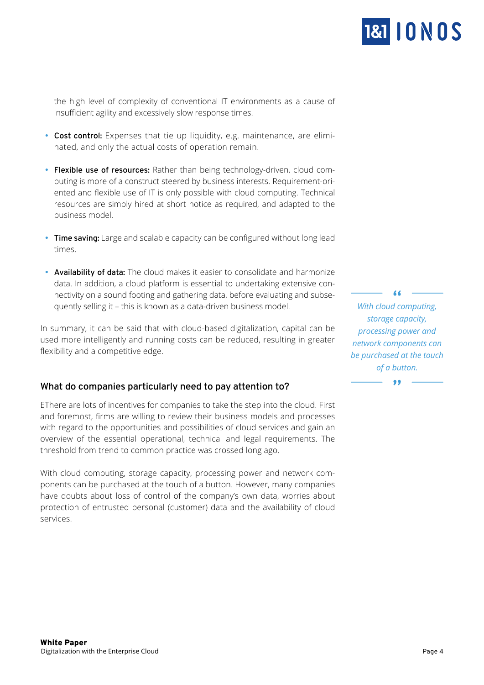

<span id="page-3-0"></span>the high level of complexity of conventional IT environments as a cause of insufficient agility and excessively slow response times.

- Cost control: Expenses that tie up liquidity, e.g. maintenance, are eliminated, and only the actual costs of operation remain.
- **Flexible use of resources:** Rather than being technology-driven, cloud computing is more of a construct steered by business interests. Requirement-oriented and flexible use of IT is only possible with cloud computing. Technical resources are simply hired at short notice as required, and adapted to the business model.
- **Time saving:** Large and scalable capacity can be configured without long lead times.
- **Availability of data:** The cloud makes it easier to consolidate and harmonize data. In addition, a cloud platform is essential to undertaking extensive connectivity on a sound footing and gathering data, before evaluating and subsequently selling it – this is known as a data-driven business model.

In summary, it can be said that with cloud-based digitalization, capital can be used more intelligently and running costs can be reduced, resulting in greater flexibility and a competitive edge.

## **What do companies particularly need to pay attention to?**

EThere are lots of incentives for companies to take the step into the cloud. First and foremost, firms are willing to review their business models and processes with regard to the opportunities and possibilities of cloud services and gain an overview of the essential operational, technical and legal requirements. The threshold from trend to common practice was crossed long ago.

With cloud computing, storage capacity, processing power and network components can be purchased at the touch of a button. However, many companies have doubts about loss of control of the company's own data, worries about protection of entrusted personal (customer) data and the availability of cloud services.

*With cloud computing, storage capacity, processing power and network components can be purchased at the touch of a button.*

 $\overline{1}$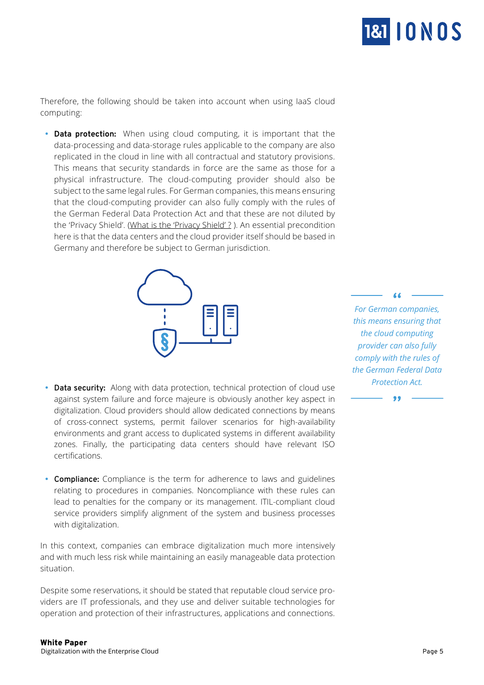

Therefore, the following should be taken into account when using IaaS cloud computing:

• **Data protection:** When using cloud computing, it is important that the data-processing and data-storage rules applicable to the company are also replicated in the cloud in line with all contractual and statutory provisions. This means that security standards in force are the same as those for a physical infrastructure. The cloud-computing provider should also be subject to the same legal rules. For German companies, this means ensuring that the cloud-computing provider can also fully comply with the rules of the German Federal Data Protection Act and that these are not diluted by the 'Privacy Shield'. (What is the 'Privacy Shield' ?). An essential precondition here is that the data centers and the cloud provider itself should be based in Germany and therefore be subject to German jurisdiction.



- **Data security:** Along with data protection, technical protection of cloud use against system failure and force majeure is obviously another key aspect in digitalization. Cloud providers should allow dedicated connections by means of cross-connect systems, permit failover scenarios for high-availability environments and grant access to duplicated systems in different availability zones. Finally, the participating data centers should have relevant ISO certifications.
- **Compliance:** Compliance is the term for adherence to laws and guidelines relating to procedures in companies. Noncompliance with these rules can lead to penalties for the company or its management. ITIL-compliant cloud service providers simplify alignment of the system and business processes with digitalization.

In this context, companies can embrace digitalization much more intensively and with much less risk while maintaining an easily manageable data protection situation.

Despite some reservations, it should be stated that reputable cloud service providers are IT professionals, and they use and deliver suitable technologies for operation and protection of their infrastructures, applications and connections.

*For German companies, this means ensuring that the cloud computing provider can also fully comply with the rules of the German Federal Data Protection Act.*

66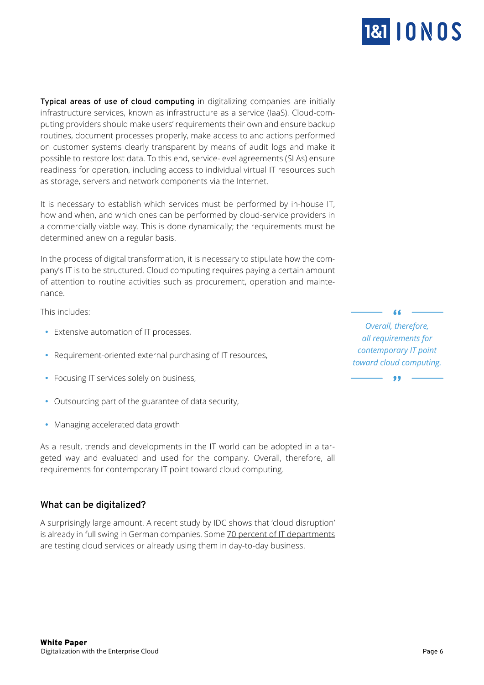

<span id="page-5-0"></span>**Typical areas of use of cloud computing** in digitalizing companies are initially infrastructure services, known as infrastructure as a service (IaaS). Cloud-computing providers should make users' requirements their own and ensure backup routines, document processes properly, make access to and actions performed on customer systems clearly transparent by means of audit logs and make it possible to restore lost data. To this end, service-level agreements (SLAs) ensure readiness for operation, including access to individual virtual IT resources such as storage, servers and network components via the Internet.

It is necessary to establish which services must be performed by in-house IT, how and when, and which ones can be performed by cloud-service providers in a commercially viable way. This is done dynamically; the requirements must be determined anew on a regular basis.

In the process of digital transformation, it is necessary to stipulate how the company's IT is to be structured. Cloud computing requires paying a certain amount of attention to routine activities such as procurement, operation and maintenance.

This includes:

- Extensive automation of IT processes,
- Requirement-oriented external purchasing of IT resources,
- Focusing IT services solely on business,
- Outsourcing part of the guarantee of data security,
- Managing accelerated data growth

As a result, trends and developments in the IT world can be adopted in a targeted way and evaluated and used for the company. Overall, therefore, all requirements for contemporary IT point toward cloud computing.

## **What can be digitalized?**

A surprisingly large amount. A recent study by IDC shows that 'cloud disruption' is already in full swing in German companies. Some 70 percent of IT departments are testing cloud services or already using them in day-to-day business.

*Overall, therefore, all requirements for contemporary IT point toward cloud computing.*

 $\overline{\mathbf{y}}$ 

 $\overline{a}$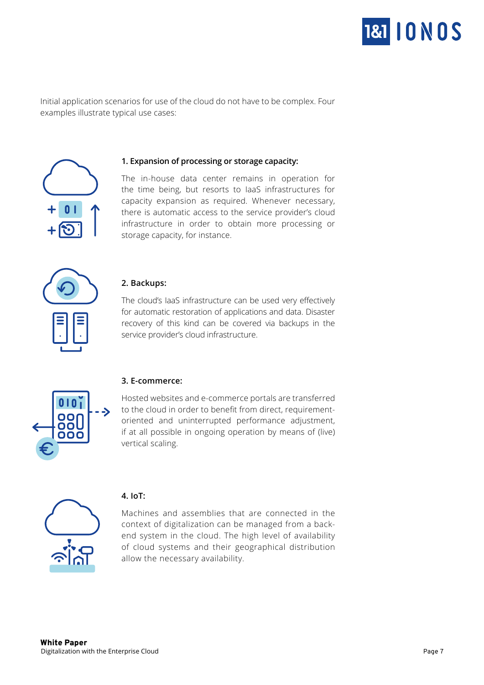

Initial application scenarios for use of the cloud do not have to be complex. Four examples illustrate typical use cases:



#### **1. Expansion of processing or storage capacity:**

The in-house data center remains in operation for the time being, but resorts to IaaS infrastructures for capacity expansion as required. Whenever necessary, there is automatic access to the service provider's cloud infrastructure in order to obtain more processing or storage capacity, for instance.



#### **2. Backups:**

The cloud's IaaS infrastructure can be used very effectively for automatic restoration of applications and data. Disaster recovery of this kind can be covered via backups in the service provider's cloud infrastructure.



#### **3. E-commerce:**

Hosted websites and e-commerce portals are transferred to the cloud in order to benefit from direct, requirementoriented and uninterrupted performance adjustment, if at all possible in ongoing operation by means of (live) vertical scaling.



#### **4. IoT:**

Machines and assemblies that are connected in the context of digitalization can be managed from a backend system in the cloud. The high level of availability of cloud systems and their geographical distribution allow the necessary availability.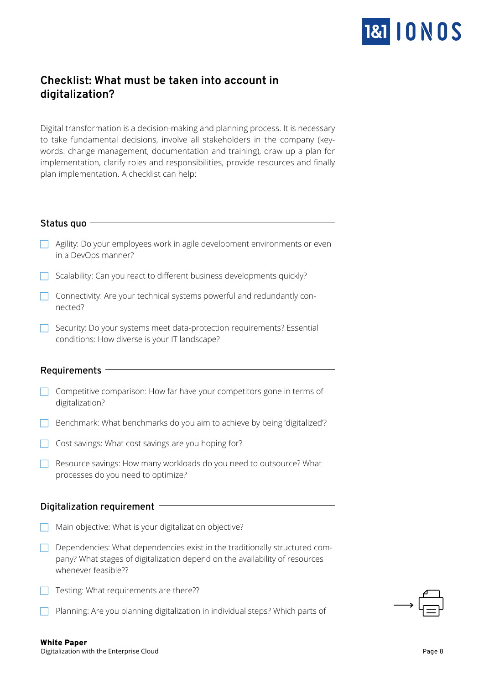

# <span id="page-7-0"></span>**Checklist: What must be taken into account in digitalization?**

Digital transformation is a decision-making and planning process. It is necessary to take fundamental decisions, involve all stakeholders in the company (keywords: change management, documentation and training), draw up a plan for implementation, clarify roles and responsibilities, provide resources and finally plan implementation. A checklist can help:

#### **Status quo**

- $\Box$  Agility: Do your employees work in agile development environments or even in a DevOps manner?
- $\Box$  Scalability: Can you react to different business developments quickly?
- $\Box$  Connectivity: Are your technical systems powerful and redundantly connected?
- $\Box$  Security: Do your systems meet data-protection requirements? Essential conditions: How diverse is your IT landscape?

## **Requirements**

- Competitive comparison: How far have your competitors gone in terms of digitalization?
- $\Box$  Benchmark: What benchmarks do you aim to achieve by being 'digitalized'?
- $\Box$  Cost savings: What cost savings are you hoping for?
- $\Box$  Resource savings: How many workloads do you need to outsource? What processes do you need to optimize?

## **Digitalization requirement**

- $\Box$  Main objective: What is your digitalization objective?
- $\Box$  Dependencies: What dependencies exist in the traditionally structured company? What stages of digitalization depend on the availability of resources whenever feasible??
- $\Box$  Testing: What requirements are there??
- $\Box$  Planning: Are you planning digitalization in individual steps? Which parts of

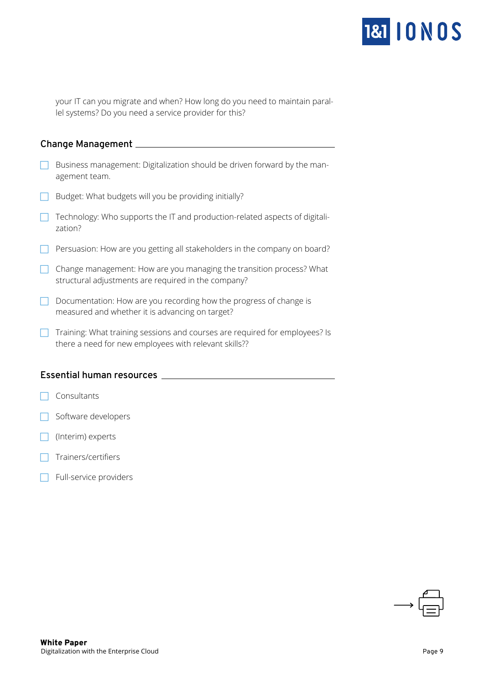

your IT can you migrate and when? How long do you need to maintain parallel systems? Do you need a service provider for this?

#### **Change Management**

- $\Box$  Business management: Digitalization should be driven forward by the management team.
- $\Box$  Budget: What budgets will you be providing initially?
- $\Box$  Technology: Who supports the IT and production-related aspects of digitalization?
- $\Box$  Persuasion: How are you getting all stakeholders in the company on board?
- $\Box$  Change management: How are you managing the transition process? What structural adjustments are required in the company?
- $\Box$  Documentation: How are you recording how the progress of change is measured and whether it is advancing on target?
- $\Box$  Training: What training sessions and courses are required for employees? Is there a need for new employees with relevant skills??

#### **Essential human resources**

- $\Box$  Consultants
- Software developers
- $\Box$  (Interim) experts
- $\overline{\phantom{a}}$  Trainers/certifiers
- $\Box$  Full-service providers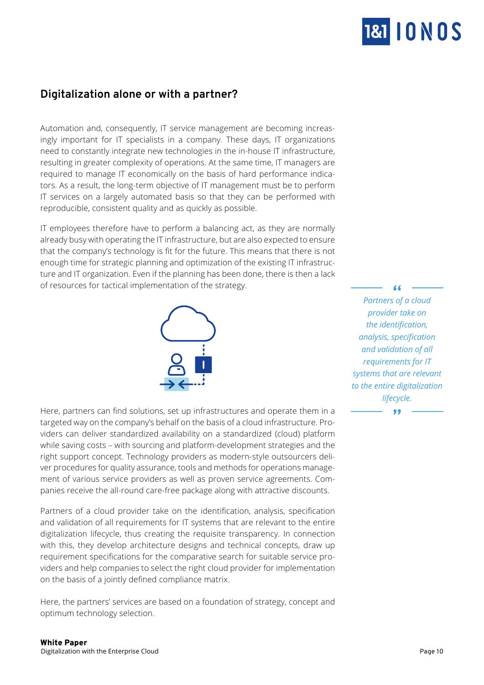

# <span id="page-9-0"></span>**Digitalization alone or with a partner?**

Automation and, consequently, IT service management are becoming increasingly important for IT specialists in a company. These days, IT organizations need to constantly integrate new technologies in the in-house IT infrastructure, resulting in greater complexity of operations. At the same time, IT managers are required to manage IT economically on the basis of hard performance indicators. As a result, the long-term objective of IT management must be to perform IT services on a largely automated basis so that they can be performed with reproducible, consistent quality and as quickly as possible.

IT employees therefore have to perform a balancing act, as they are normally already busy with operating the IT infrastructure, but are also expected to ensure that the company's technology is fit for the future. This means that there is not enough time for strategic planning and optimization of the existing IT infrastructure and IT organization. Even if the planning has been done, there is then a lack of resources for tactical implementation of the strategy.



Here, partners can find solutions, set up infrastructures and operate them in a targeted way on the company's behalf on the basis of a cloud infrastructure. Providers can deliver standardized availability on a standardized (cloud) platform while saving costs – with sourcing and platform-development strategies and the right support concept. Technology providers as modern-style outsourcers deliver procedures for quality assurance, tools and methods for operations management of various service providers as well as proven service agreements. Companies receive the all-round care-free package along with attractive discounts.

Partners of a cloud provider take on the identification, analysis, specification and validation of all requirements for IT systems that are relevant to the entire digitalization lifecycle, thus creating the requisite transparency. In connection with this, they develop architecture designs and technical concepts, draw up requirement specifications for the comparative search for suitable service providers and help companies to select the right cloud provider for implementation on the basis of a jointly defined compliance matrix.

Here, the partners' services are based on a foundation of strategy, concept and optimum technology selection.

*Partners of a cloud provider take on the identification, analysis, specification and validation of all requirements for IT systems that are relevant to the entire digitalization lifecycle.* 

7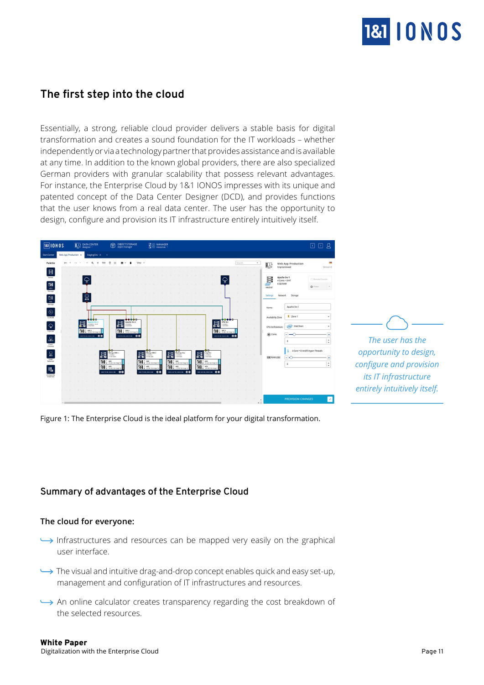

*The user has the opportunity to design, configure and provision its IT infrastructure entirely intuitively itself.*

# <span id="page-10-0"></span>**The first step into the cloud**

Essentially, a strong, reliable cloud provider delivers a stable basis for digital transformation and creates a sound foundation for the IT workloads – whether independently or via a technology partner that provides assistance and is available at any time. In addition to the known global providers, there are also specialized German providers with granular scalability that possess relevant advantages. For instance, the Enterprise Cloud by 1&1 IONOS impresses with its unique and patented concept of the Data Center Designer (DCD), and provides functions that the user knows from a real data center. The user has the opportunity to design, configure and provision its IT infrastructure entirely intuitively itself.



Figure 1: The Enterprise Cloud is the ideal platform for your digital transformation.

## **Summary of advantages of the Enterprise Cloud**

#### **The cloud for everyone:**

- Infrastructures and resources can be mapped very easily on the graphical user interface.
- The visual and intuitive drag-and-drop concept enables quick and easy set-up, management and configuration of IT infrastructures and resources.
- $\rightarrow$  An online calculator creates transparency regarding the cost breakdown of the selected resources.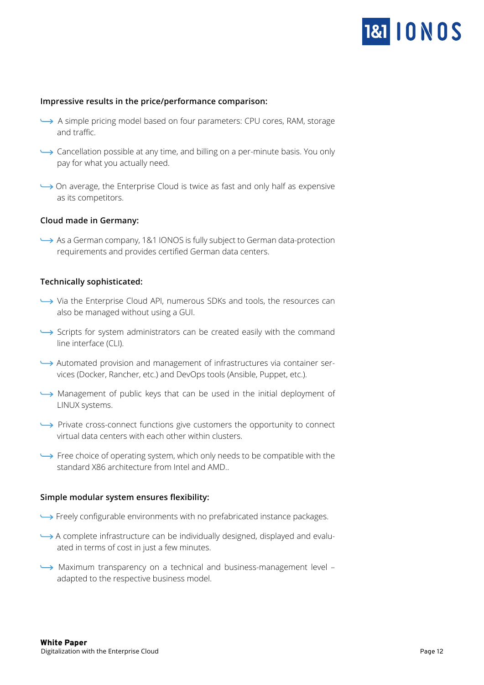

#### <span id="page-11-0"></span>**Impressive results in the price/performance comparison:**

- A simple pricing model based on four parameters: CPU cores, RAM, storage and traffic.
- $\rightarrow$  Cancellation possible at any time, and billing on a per-minute basis. You only pay for what you actually need.
- $\rightarrow$  On average, the Enterprise Cloud is twice as fast and only half as expensive as its competitors.

#### **Cloud made in Germany:**

 As a German company, 1&1 IONOS is fully subject to German data-protection requirements and provides certified German data centers.

#### **Technically sophisticated:**

- $\rightarrow$  Via the Enterprise Cloud API, numerous SDKs and tools, the resources can also be managed without using a GUI.
- Scripts for system administrators can be created easily with the command line interface (CLI).
- $\rightarrow$  Automated provision and management of infrastructures via container services (Docker, Rancher, etc.) and DevOps tools (Ansible, Puppet, etc.).
- Management of public keys that can be used in the initial deployment of LINUX systems.
- $\rightarrow$  Private cross-connect functions give customers the opportunity to connect virtual data centers with each other within clusters.
- $\rightarrow$  Free choice of operating system, which only needs to be compatible with the standard X86 architecture from Intel and AMD..

#### **Simple modular system ensures flexibility:**

- Freely configurable environments with no prefabricated instance packages.
- $\rightarrow$  A complete infrastructure can be individually designed, displayed and evaluated in terms of cost in just a few minutes.
- Maximum transparency on a technical and business-management level adapted to the respective business model.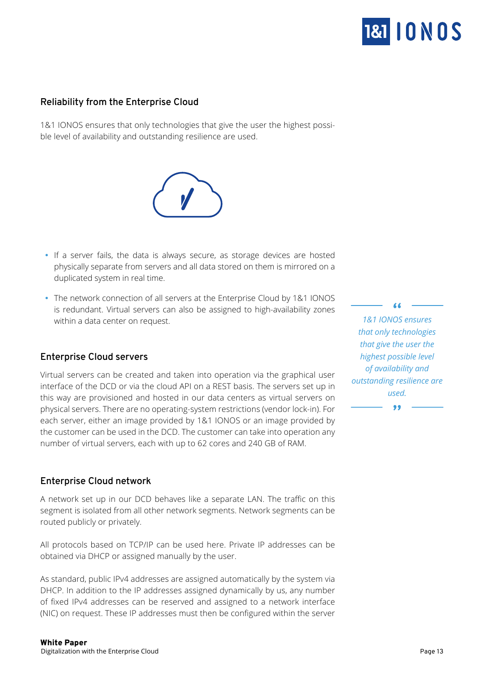

## <span id="page-12-0"></span>**Reliability from the Enterprise Cloud**

1&1 IONOS ensures that only technologies that give the user the highest possible level of availability and outstanding resilience are used.

- If a server fails, the data is always secure, as storage devices are hosted physically separate from servers and all data stored on them is mirrored on a duplicated system in real time.
- The network connection of all servers at the Enterprise Cloud by 1&1 IONOS is redundant. Virtual servers can also be assigned to high-availability zones within a data center on request.

## **Enterprise Cloud servers**

Virtual servers can be created and taken into operation via the graphical user interface of the DCD or via the cloud API on a REST basis. The servers set up in this way are provisioned and hosted in our data centers as virtual servers on physical servers. There are no operating-system restrictions (vendor lock-in). For each server, either an image provided by 1&1 IONOS or an image provided by the customer can be used in the DCD. The customer can take into operation any number of virtual servers, each with up to 62 cores and 240 GB of RAM.

#### **Enterprise Cloud network**

A network set up in our DCD behaves like a separate LAN. The traffic on this segment is isolated from all other network segments. Network segments can be routed publicly or privately.

All protocols based on TCP/IP can be used here. Private IP addresses can be obtained via DHCP or assigned manually by the user.

As standard, public IPv4 addresses are assigned automatically by the system via DHCP. In addition to the IP addresses assigned dynamically by us, any number of fixed IPv4 addresses can be reserved and assigned to a network interface (NIC) on request. These IP addresses must then be configured within the server

*1&1 IONOS ensures that only technologies that give the user the highest possible level of availability and outstanding resilience are used.*

99

 $\overline{1}$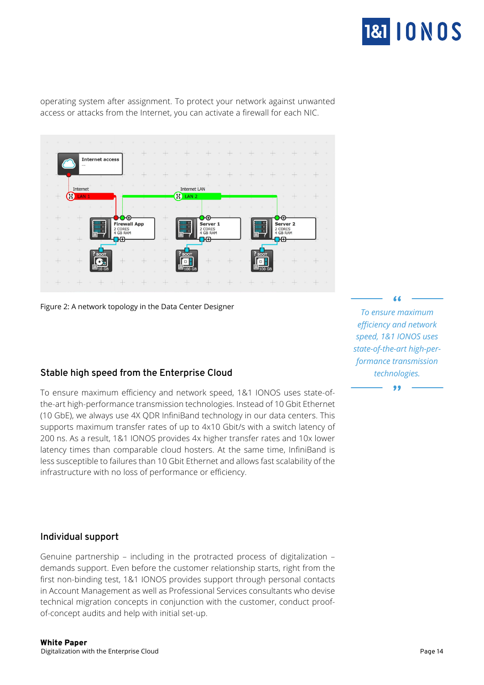

<span id="page-13-0"></span>operating system after assignment. To protect your network against unwanted access or attacks from the Internet, you can activate a firewall for each NIC.



Figure 2: A network topology in the Data Center Designer

## **Stable high speed from the Enterprise Cloud**

To ensure maximum efficiency and network speed, 1&1 IONOS uses state-ofthe-art high-performance transmission technologies. Instead of 10 Gbit Ethernet (10 GbE), we always use 4X QDR InfiniBand technology in our data centers. This supports maximum transfer rates of up to 4x10 Gbit/s with a switch latency of 200 ns. As a result, 1&1 IONOS provides 4x higher transfer rates and 10x lower latency times than comparable cloud hosters. At the same time, InfiniBand is less susceptible to failures than 10 Gbit Ethernet and allows fast scalability of the infrastructure with no loss of performance or efficiency.

*To ensure maximum efficiency and network speed, 1&1 IONOS uses state-of-the-art high-performance transmission technologies.*

#### **Individual support**

Genuine partnership – including in the protracted process of digitalization – demands support. Even before the customer relationship starts, right from the first non-binding test, 1&1 IONOS provides support through personal contacts in Account Management as well as Professional Services consultants who devise technical migration concepts in conjunction with the customer, conduct proofof-concept audits and help with initial set-up.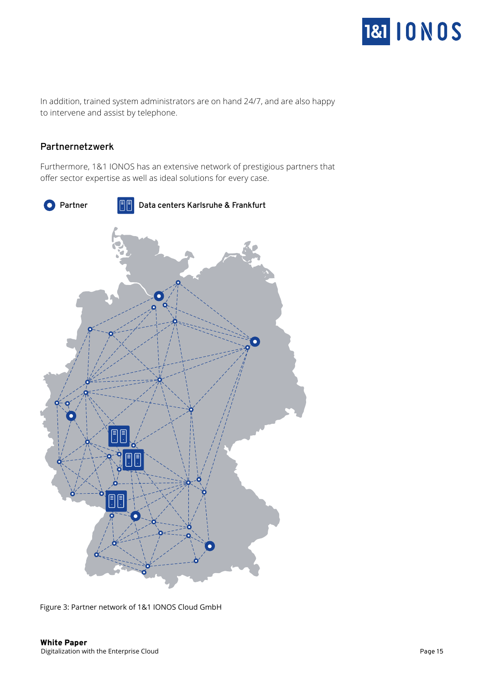

<span id="page-14-0"></span>In addition, trained system administrators are on hand 24/7, and are also happy to intervene and assist by telephone.

#### **Partnernetzwerk**

Furthermore, 1&1 IONOS has an extensive network of prestigious partners that offer sector expertise as well as ideal solutions for every case.



Figure 3: Partner network of 1&1 IONOS Cloud GmbH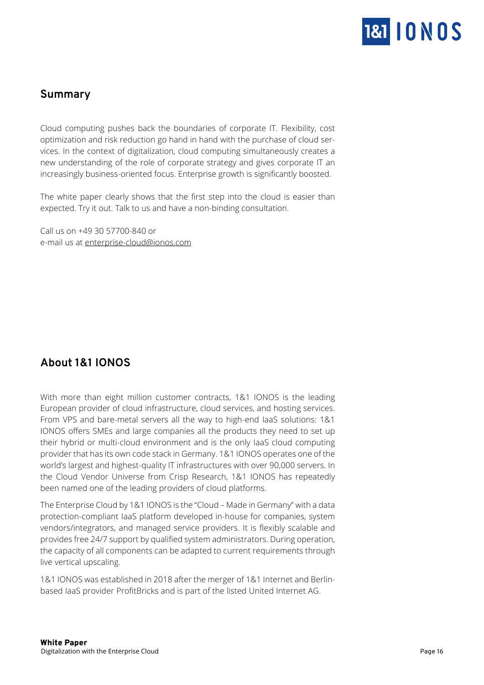

# <span id="page-15-0"></span>**Summary**

Cloud computing pushes back the boundaries of corporate IT. Flexibility, cost optimization and risk reduction go hand in hand with the purchase of cloud services. In the context of digitalization, cloud computing simultaneously creates a new understanding of the role of corporate strategy and gives corporate IT an increasingly business-oriented focus. Enterprise growth is significantly boosted.

The white paper clearly shows that the first step into the cloud is easier than expected. Try it out. Talk to us and have a non-binding consultation.

Call us on +49 30 57700-840 or e-mail us at enterprise-cloud@ionos.com

# **About 1&1 IONOS**

With more than eight million customer contracts, 1&1 IONOS is the leading European provider of cloud infrastructure, cloud services, and hosting services. From VPS and bare-metal servers all the way to high-end IaaS solutions: 1&1 IONOS offers SMEs and large companies all the products they need to set up their hybrid or multi-cloud environment and is the only IaaS cloud computing provider that has its own code stack in Germany. 1&1 IONOS operates one of the world's largest and highest-quality IT infrastructures with over 90,000 servers. In the Cloud Vendor Universe from Crisp Research, 1&1 IONOS has repeatedly been named one of the leading providers of cloud platforms.

The Enterprise Cloud by 1&1 IONOS is the "Cloud – Made in Germany" with a data protection-compliant IaaS platform developed in-house for companies, system vendors/integrators, and managed service providers. It is flexibly scalable and provides free 24/7 support by qualified system administrators. During operation, the capacity of all components can be adapted to current requirements through live vertical upscaling.

1&1 IONOS was established in 2018 after the merger of 1&1 Internet and Berlinbased IaaS provider ProfitBricks and is part of the listed United Internet AG.